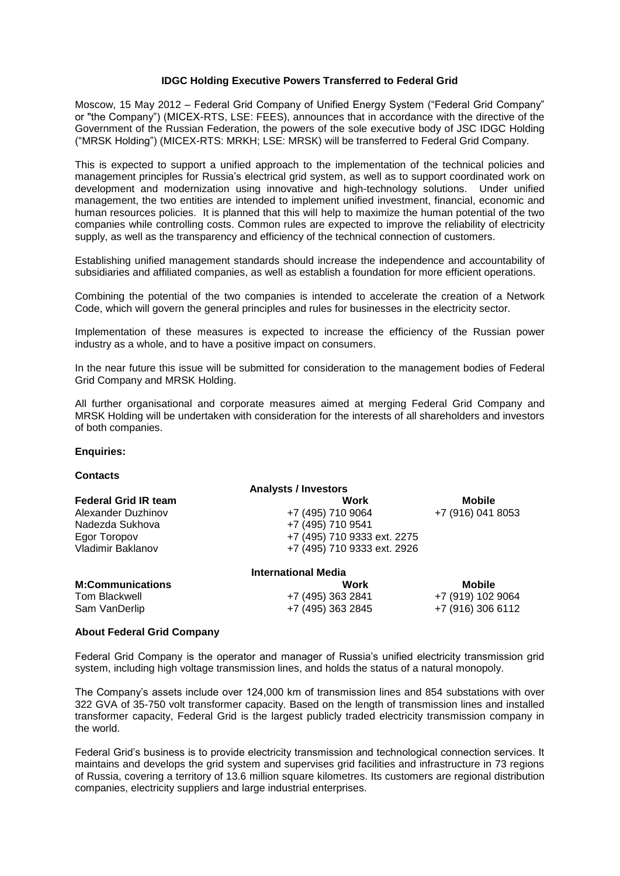# **IDGC Holding Executive Powers Transferred to Federal Grid**

Moscow, 15 May 2012 – Federal Grid Company of Unified Energy System ("Federal Grid Company" or "the Company") (MICEX-RTS, LSE: FEES), announces that in accordance with the directive of the Government of the Russian Federation, the powers of the sole executive body of JSC IDGC Holding ("MRSK Holding") (MICEX-RTS: MRKH; LSE: MRSK) will be transferred to Federal Grid Company.

This is expected to support a unified approach to the implementation of the technical policies and management principles for Russia's electrical grid system, as well as to support coordinated work on development and modernization using innovative and high-technology solutions. Under unified management, the two entities are intended to implement unified investment, financial, economic and human resources policies. It is planned that this will help to maximize the human potential of the two companies while controlling costs. Common rules are expected to improve the reliability of electricity supply, as well as the transparency and efficiency of the technical connection of customers.

Establishing unified management standards should increase the independence and accountability of subsidiaries and affiliated companies, as well as establish a foundation for more efficient operations.

Combining the potential of the two companies is intended to accelerate the creation of a Network Code, which will govern the general principles and rules for businesses in the electricity sector.

Implementation of these measures is expected to increase the efficiency of the Russian power industry as a whole, and to have a positive impact on consumers.

In the near future this issue will be submitted for consideration to the management bodies of Federal Grid Company and MRSK Holding.

All further organisational and corporate measures aimed at merging Federal Grid Company and MRSK Holding will be undertaken with consideration for the interests of all shareholders and investors of both companies.

### **Enquiries:**

#### **Contacts**

|                             | <b>Analysts / Investors</b> |                   |
|-----------------------------|-----------------------------|-------------------|
| <b>Federal Grid IR team</b> | Work                        | <b>Mobile</b>     |
| Alexander Duzhinov          | +7 (495) 710 9064           | +7 (916) 041 8053 |
| Nadezda Sukhova             | +7 (495) 710 9541           |                   |
| Egor Toropov                | +7 (495) 710 9333 ext. 2275 |                   |
| Vladimir Baklanov           | +7 (495) 710 9333 ext. 2926 |                   |
|                             | <b>International Media</b>  |                   |
| <b>M:Communications</b>     | Work                        | <b>Mobile</b>     |
| Tom Blackwell               | +7 (495) 363 2841           | +7 (919) 102 9064 |
| Sam VanDerlip               | +7 (495) 363 2845           | +7 (916) 306 6112 |

### **About Federal Grid Company**

Federal Grid Company is the operator and manager of Russia's unified electricity transmission grid system, including high voltage transmission lines, and holds the status of a natural monopoly.

The Company's assets include over 124,000 km of transmission lines and 854 substations with over 322 GVA of 35-750 volt transformer capacity. Based on the length of transmission lines and installed transformer capacity, Federal Grid is the largest publicly traded electricity transmission company in the world.

Federal Grid's business is to provide electricity transmission and technological connection services. It maintains and develops the grid system and supervises grid facilities and infrastructure in 73 regions of Russia, covering a territory of 13.6 million square kilometres. Its customers are regional distribution companies, electricity suppliers and large industrial enterprises.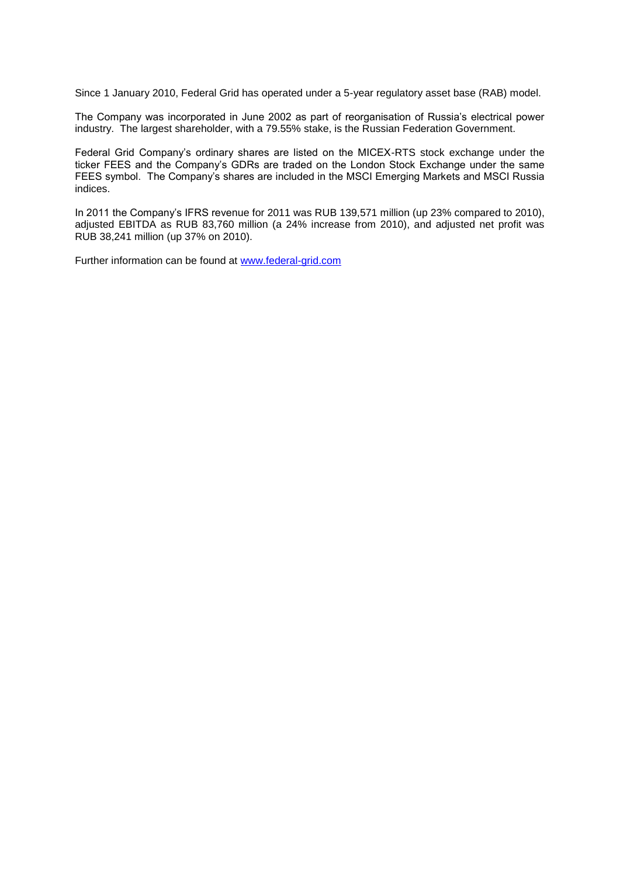Since 1 January 2010, Federal Grid has operated under a 5-year regulatory asset base (RAB) model.

The Company was incorporated in June 2002 as part of reorganisation of Russia's electrical power industry. The largest shareholder, with a 79.55% stake, is the Russian Federation Government.

Federal Grid Company's ordinary shares are listed on the MICEX-RTS stock exchange under the ticker FEES and the Company's GDRs are traded on the London Stock Exchange under the same FEES symbol. The Company's shares are included in the MSCI Emerging Markets and MSCI Russia indices.

In 2011 the Company's IFRS revenue for 2011 was RUB 139,571 million (up 23% compared to 2010), adjusted EBITDA as RUB 83.760 million (a 24% increase from 2010), and adjusted net profit was RUB 38,241 million (up 37% on 2010).

Further information can be found at [www.federal-grid.com](http://www.federal-grid.com/)